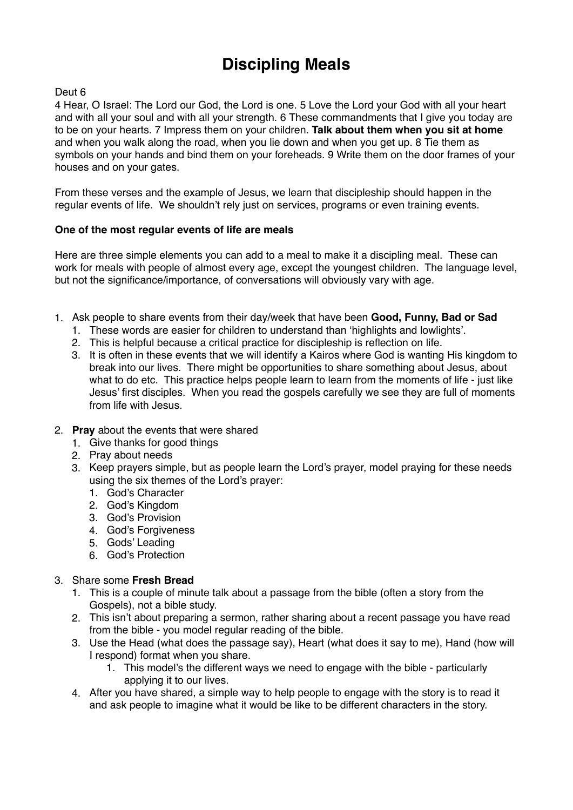# **Discipling Meals**

# Deut 6

4 Hear, O Israel: The Lord our God, the Lord is one. 5 Love the Lord your God with all your heart and with all your soul and with all your strength. 6 These commandments that I give you today are to be on your hearts. 7 Impress them on your children. **Talk about them when you sit at home** and when you walk along the road, when you lie down and when you get up. 8 Tie them as symbols on your hands and bind them on your foreheads. 9 Write them on the door frames of your houses and on your gates.

From these verses and the example of Jesus, we learn that discipleship should happen in the regular events of life. We shouldn't rely just on services, programs or even training events.

# **One of the most regular events of life are meals**

Here are three simple elements you can add to a meal to make it a discipling meal. These can work for meals with people of almost every age, except the youngest children. The language level, but not the significance/importance, of conversations will obviously vary with age.

- 1. Ask people to share events from their day/week that have been **Good, Funny, Bad or Sad**
	- 1. These words are easier for children to understand than 'highlights and lowlights'.
	- 2. This is helpful because a critical practice for discipleship is reflection on life.
	- 3. It is often in these events that we will identify a Kairos where God is wanting His kingdom to break into our lives. There might be opportunities to share something about Jesus, about what to do etc. This practice helps people learn to learn from the moments of life - just like Jesus' first disciples. When you read the gospels carefully we see they are full of moments from life with Jesus.
- 2. **Pray** about the events that were shared
	- 1. Give thanks for good things
	- 2. Pray about needs
	- 3. Keep prayers simple, but as people learn the Lord's prayer, model praying for these needs using the six themes of the Lord's prayer:
		- 1. God's Character
		- 2. God's Kingdom
		- 3. God's Provision
		- 4. God's Forgiveness
		- 5. Gods' Leading
		- 6. God's Protection

# 3. Share some **Fresh Bread**

- 1. This is a couple of minute talk about a passage from the bible (often a story from the Gospels), not a bible study.
- 2. This isn't about preparing a sermon, rather sharing about a recent passage you have read from the bible - you model regular reading of the bible.
- 3. Use the Head (what does the passage say), Heart (what does it say to me), Hand (how will I respond) format when you share.
	- 1. This model's the different ways we need to engage with the bible particularly applying it to our lives.
- 4. After you have shared, a simple way to help people to engage with the story is to read it and ask people to imagine what it would be like to be different characters in the story.